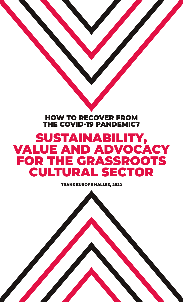## HOW TO RECOVER FROM THE COVID-19 PANDEMIC?

## SUSTAINABILITY, VALUE AND ADVOCACY FOR THE GRASSROOTS CULTURAL SECTOR

TRANS EUROPE HALLES, 2022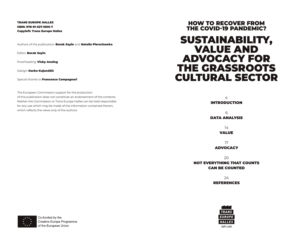## TRANS EUROPE HALLES ISBN: 978-91-527-1600-7 Copyleft: Trans Europe Halles

Authors of the publication: **Burak Sayin** and **Natalia Pierzchawka** 

Editor: Burak Sayin

Proofreading: **Vicky Anning** 

Design: Darko Kujundžić

Special thanks to **Francesco Campagnari** 

The European Commission support for the production of this publication does not constitute an endorsement of the contents. Neither the Commission or Trans Europe Halles can be held responsible for any use which may be made of the information contained therein, which reflects the views only of the authors.

## HOW TO RECOVER FROM THE COVID-19 PANDEMIC?

## SUSTAINABILITY, VALUE AND ADVOCACY FOR THE GRASSROOTS CULTURAL SECTOR

4

INTRODUCTION

6 DATA ANALYSIS

> 14 VALUE

17 ADVOCACY

20 NOT EVERYTHING THAT COUNTS CAN BE COUNTED

> 24 **REFERENCES**





Co-funded by the **Creative Europe Programme** of the European Union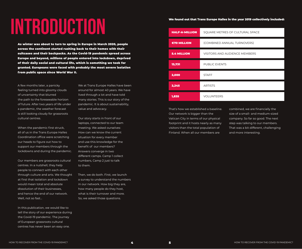# **INTRODUCTION**

As winter was about to turn to spring in Europe in March 2020, people across the continent started rushing back to their homes with their suitcases and their backpacks. As the Covid-19 pandemic spread across Europe and beyond, millions of people entered into lockdown, deprived of their daily social and cultural life, which is something we took for granted. Europeans were faced with probably the most severe isolation from public space since World War II.

A few months later, a panicky feeling turned into gloomy clouds of uncertainty that blurred the path to the foreseeable horizon of future. After two years of life under a pandemic, the weather forecast is still looking cloudy for grassroots cultural centres.

When the pandemic first struck, all of us in the Trans Europe Halles Coordination office were scratching our heads to figure out how to support our members through the lockdowns and during the pandemic.

Our members are grassroots cultural centres. In a nutshell, they help people to connect with each other through culture and arts. We thought at first that isolation and lockdown would mean total and absolute dissolution of their businesses, and hence the end of our network. Well, not so fast…

In this publication, we would like to tell the story of our experience during the Covid-19 pandemic. The journey of European grassroots cultural centres has never been an easy one.

We at Trans Europe Halles have been around for almost 40 years. We have lived through a lot and have told many stories. This is our story of the pandemic. It is about sustainability, value and advocacy.

Our story starts in front of our laptops, connected to our team meeting. We asked ourselves: How can we know the current situation for every member and use this knowledge for the benefit of our members? Answers converge in two different camps. Camp 1 collect numbers, Camp 2 just to talk to them.

Then, we do both. First, we launch a survey to understand the numbers in our network. How big they are, how many people do they host, what is their turnover and more. So, we asked those questions.

## We found out that Trans Europe Halles in the year 2019 collectively included:

| <b>HALF-A-MILLION</b> | SQUARE METRES OF CULTURAL SPACE      |
|-----------------------|--------------------------------------|
| €70 MILLION           | (COMBINED ANNUAL TURNOVERS)          |
| <b>5.4 MILLION</b>    | <b>VISITORS AND AUDIENCE MEMBERS</b> |
| 13,731                | <b>PUBLIC EVENTS</b>                 |
| 2,000                 | <b>STAFF</b>                         |
| 2,245                 | <b>ARTISTS</b>                       |
| 1,835                 | <b>VOLUNTEERS</b>                    |

That's how we established a baseline. Our network is bigger than the Vatican City in terms of our physical footprint and it hosts nearly as many visitors than the total population of Finland. When all our members are

combined, we are financially the size of a small- and medium-sized company. So far so good. The next step was talking to our members. That was a bit different, challenging and more interesting.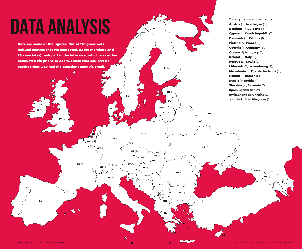# **DATA ANALYSIS**

Here are some of the figures. Out of 128 grassroots cultural centres that we contacted, 92 (69 members and 23 associates) took part in the interview, which was either conducted via phone or Zoom. Those who couldn't be reached that way had the questions sent via email.

 $\mathbf{U}$ K $\mathcal{O}$ 

AT  $(3)$ 

SE (7)

CZ (7)

SI (2)  $\leq$ 

IT (8)

DE (8)

DK (2)

CH (1)

NL (3)

 $BE/2$ 

FR (1)

LU (2)

**HU** (1)

PL (1)

 $\overline{f}$ 

SK (7)

FI (5)

EE (1)

LV $(2)$ 

LT (1)

RS (1)

 $\sum_{\mathbf{X}}$ k (3

RO (4)

BG (1)

EL (3)

**MK** 

The organisations were located in: Austria (3), Azerbaijan (3), Belgium (2), Bulgaria (1), Cyprus (1), Czech Republic (7), Denmark (2), Estonia (1), Finland (5), France (1). Georgia (1), Germany (8), Greece (3), Hungary (1), Ireland (1), Italy (8), Kosovo (3), Latvia (2), Lithuania (1), Luxembourg (2), Macedonia (1), The Netherlands (3), Poland (1), Romania (4), Russia (1), Serbia (1), Slovakia (7), Slovenia (2), Spain (4), Sweden (7), Switzerland (1), Ukraine (2) and the United Kingdom (2).

RU (1)

UA (2)

CY (1)

**ES**  $(4)$ 

IE (1)

GE (1)

 $AZ(3)$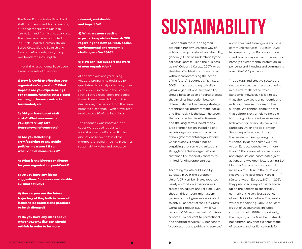The Trans Europe Halles Board and staff members spent hours reaching out to members from Spain to Azerbaijan and from Norway to Malta. The interviews were conducted in Dutch, English, German, Italian, Serbo-Croat, Slovak, Spanish and Swedish. Afterwards, everything was translated into English.

In total, the respondents have been asked nine sets of questions:

1) How is Covid-19 affecting your organisation's operation? What impacts are you experiencing? For example, funding cuts; closed venues; job losses, contracts terminated, etc.

2) Did you have to cut staff costs? What measures did you opt for? Lay-off? Non-renewal of contracts?

3) Are you benefiting from/applying to any public policies measures? If so, what kind of measure is it?

4) What is the biggest challenge for your organisation post-Covid?

5) Do you have any ideas/ suggestions for a more sustainable cultural activity?

6) How do you see the future trajectory of the, both in terms of issues to be tackled and practices to be challenged?

7) Do you have any ideas about what networks like TEH should rethink in order to be more

## relevant, sustainable and impactful?

8) What are your specific expectations/wishes towards TEH regarding the new political, social, environmental and economic challenges after 2020?

## 9) How can TEH support the work of your organisation?

All the data was analysed using Atlas.ti, a programme designed for qualitative data analysis. In total, three people were involved in the process. First, all three researchers pre-coded three chosen cases. Following the discussions, one person from the team prepared a codebook, which was later used to code 92 of the interviews.

The codebook was improved, and codes were added regularly. In total, there were 418 codes. Further discussions between two of the members revealed three main themes: sustainability, value and advocacy.

## **SUSTAINABILITY**

Even though there is no agreed definition nor any universal way of achieving organisational sustainability, generally it can be understood by the colloquial phrase, 'keep the business going' (Colbert & Kurucz, 2007), or by the idea of 'achieving success today without compromising the needs of the future' (Boudreau & Ramstad, 2005). In fact, according to Hailey (2014), organisational sustainability should be seen as an ongoing process that involves interaction between different elements – namely strategic, organisational, programmatic, social and financial. It is the latter, however, that is crucial for the effectiveness and the long-term survival of any type of organisation, including civil society organisations and all types of non-governmental organisations. Consequently, it should not be surprising that some organisations struggle to achieve organisational sustainability, especially those with limited funding opportunities.

According to data published by Eurostat in 2019, the European Union's 27 Member States reported nearly €162 billion expenditure on 'recreation, culture and religion'. Even though this amount might seem generous, this figure was equivalent to only 1.2 per cent of the EU's Gross Domestic Product (GDP) while 0.5 per cent GDP was devoted to 'cultural services', 0.4 per cent to 'recreational and sporting services', 0.2 per cent to 'broadcasting and publishing services',

and 0.1 per cent to 'religious and other community services' (Eurostat, 2021). In comparison, the European Union spent less money on two other sectors, namely 'environmental protection' (0.8 per cent) and 'housing and community amenities' (0.6 per cent).

The cultural and creative sectors are not the only sectors that are suffering in the aftermath of the Covid-19 pandemic. However, it is fair to say that, after two years of pandemic and isolation, these sectors are on lifesupport. We cannot ignore the fact that culture is extremely vulnerable to funding cuts since it receives very little attention financially from the European Union and its Member States, especially now, during the pandemic. Recognising the vulnerability of the sector, Cultural Action Europe, together with more than 110 European cultural networks and organisations, coordinated joint actions and two open letters asking EU Member States to ensure an explicit inclusion of culture in their National Recovery and Resilience Plans (NRRP) (Culture Action Europe, 2021). In 2021, they published a report that followed up on their efforts to specifically earmark at the very least 2 per cent of each NRRP for culture. The results were disappointing. Only 53 per cent (14 out of 26 countries) included culture in their NRRPs. Importantly, the majority of the Member States did not earmark any specific percentage of recovery and resilience funds for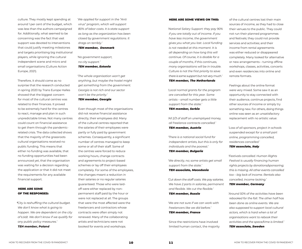culture. They mostly kept spending at around 1 per cent of the budget, which was less than the authors campaigned for. Additionally, what seemed to be concerning was the fact that vast support was devoted to interventions that could justify meeting milestones and targets prioritising big institutional players, while ignoring the cultural independent scene and micro and small organisations (Culture Action Europe, 2021).

Therefore, it should come as no surprise that the research conducted in spring 2020 by Trans Europe Halles showed that the biggest concern for most of the cultural centres was related to their finances. It proved to be extremely hard for the centres to react, manage and plan in such unpredictable times. Not many centres could count on financial assistance to get them through the pandemicrelated crisis. The data collected shows that the majority of the grassroots cultural organisations received no public funding. This means that either no funding was available, that no funding opportunities had been announced yet, that the organisation was waiting for a decision regarding the application or that it did not meet the requirements for any available financial support.

## HERE ARE SOME OF THE RESPONSES:

*'City is reshuffling the cultural budget. We don't know what is going to happen. We are dependent on the city of Łódź. We don't know if we qualify for any public policy measures.' TEH member, Poland*

*'We applied for support in the "Anti virus" program, which will support 80% of labor costs. It is state support as long as the organization has been closed by government regulations. It drags on terribly.'* 

## *TEH member, Denmark*

*'No government support, no city support.'* 

## *TEH member, Estonia*

*'The whole organisation won't get anything, but maybe the hostel might get something from the government. Georgia is not rich and our sector won't be the priority.'* 

*TEH member, Georgia*

Even though most of the organisations did not receive financial assistance directly, their employees did. Many of the cultural centres reported that the salaries of their employees were partly or fully paid by government schemes. Consequently, a significant number of centres managed to keep some or all of their staff. Some of the centres were forced to reduce working hours, change contracts and agreements to project-based schemes or lay off their employees completely. For some of the employees, the changes meant a reduction in their salaries or no regular salaries guaranteed. Those who were laidoff were either replaced by nonpermanent staff paid by the hour or were not replaced at all. The groups that were the most affected were the freelancers and contractors whose contracts were often simply not renewed. Many of the collaborating artists and technicians were not booked for events and workshops.

## HERE ARE SOME VIEWS ON THIS:

*'National Salary Support: they pay 90% if you are totally out of income. If you have less income, the government gives you what you lost. Local funding is not needed at this moment. It is all depending on how long this will continue. Of course, it is doable for a couple of months, if this continues, many organisations will be in trouble. Culture is not the first priority to save: there is some support but not very much.' TEH member, The Netherlands*

*'Local normal grants for the program are cancelled for this year. Some artists – small number gets a little support from the state.'* 

*TEH member, Serbia*

*'All 2/3 of staff on unemployed money, all freelance contracts cancelled.' TEH member, Austria*

*'There is a national social fund for independent artists, but this is only for individuals and the poorest.' TEH member, Bulgaria*

*'We directly, no; some artists get small support from the state.' TEH associate, Macedonia*

*'Cut down the staff costs. We pay salaries. We have 2 parts in salaries, permanent and flexible. We cut the flexible.' TEH member, Russia*

*'We are not sure if we can work with freelancers like we did before.' TEH member, France*

Since the restrictions have involved limited human contact, the majority

of the cultural centres lost their main sources of income, as they had to close their venues to the public. They could not run their planned programmes and festivals; they could not provide services and activities; and their income from rental agreements was either reduced or disappeared completely. Many looked for alternative or new arrangements – turning offline workshops, classes, activities, concerts and even residencies into online and remote formats.

Feelings about the online format were very mixed. Some saw it as an opportunity to stay connected with their audience, continue projects, find other sources of income or simply try something new. For others, doing things online was seen as an unsatisfactory replacement with no artistic value:

*'Loss of all sponsors, project in schools suspended except for a small part online, programming cancelled, residences cancelled.' TEH associate, Italy*

*'Festivals cancelled. Human Rights Festival is usually financing human rights projects by donations/sponsoring; this is missing. All other events cancelled too – big lack of income. Rentals also cancelled, income lacking.'* 

## *TEH member, Germany*

*'Around 50% of the activities have been rebooked for the fall. The other half has been done as online events. We are also supposed to support local cultural actors, which is hard when a lot of organisations want to rebook their activities and the space/time is limited.' TEH associate, Sweden*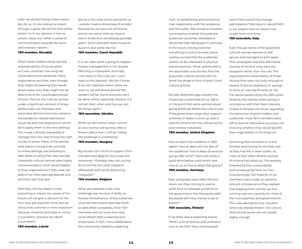*'Later we started doing online events. But for us, it's like licking ice cream through a glass. We did the first online action 1.4. In our opinion, it has no artistic value, but rather a sense of communication towards the team and ordinary viewers.'* 

### *TEH member, Slovakia*

What made matters worse was the unpredictability of the situation as it was uncertain how long the Covid restrictions would last. Many respondents said that, even though they might be keeping their heads above water now, they might not be able to do so for a prolonged period of time. This put the cultural centres under a significant amount of stress. Additionally, our members and associates did not know how extreme the pandemic-related restrictions would be and how expensive it would be to apply them to the new settings. This made it almost impossible to manage the crisis and choose the right course of action. Many of the centres were either moving their activities to online settings, rescheduling to later dates or using their own savings. Grassroots cultural centres were highly concerned about what would happen to their organisations if they were not able to run their planned festivals and activities later that year.

*'Cash flow, the bar doesn't work, everything is closed, the owner of the house will not give a discount to the rent, they got payment time, but we will survive, summer is more important because of events and sales so winter is a problem, previous tax depth is a problem.'* 

*TEH member, Latvia*

*'Spring is the most active period for us – rentals, theatre showcases (9 smaller festivals) so we lose a lot of income and at the same time we have to return funds that are already partially spent. Some activities have moved to autumn, but some are not.' TEH member, Czech Republic*

*'It is not clear what is going to happen. Project management is not doable. Planning is impossible. Normally, I can react to the crisis, but I can't react to the abstract. We don't know if we can organise events when we want to. No one knows [what] the borders will be. Some activities can't be done online, especially theatre. It is not yet clear when and how we can do things again.'* 

## *TEH associate, Ukraine*

*'While we don't know when normal or new normal will be here, little is known about how it will be. Mostly the challenge is uncertainty.'* 

## *TEH member, Hungary*

*'Big houses can count on support from Flanders and Belgium but those are temporary. Probably they can survive for 6 months, but what happens afterwards with social distancing measures?'* 

## *TEH member, Belgium*

What also seemed to be a big challenge was the lack of ability to foresee the behaviour of the audiences once the restrictions were less harsh or were lifted completely. Most TEH members did not know how they could attract both audiences and artists back. In fact, many talked about the uncertainty related to regaining

trust, re-establishing and recovering their relationship with the audiences and the public. Big concerns included not knowing whether the potential audiences would be interested or would feel safe taking part in activities in the future. Having switched everything to online formats, some centres worried that the audiences would not be interested in physical events anymore. What contributed to the discomfort was the fact that the grassroots cultural centres did not know the shape or form of post-Covid cultural activity.

*'Socially distanced gigs wouldn't be financially sustainable for us. We're at the point that we're worried about going bankrupt before the crisis is over if the government stops their support schemes or doesn't come up with a specific scheme for the cultural sector and creative industries.'* 

## *TEH member, United Kingdom*

*'How to reach the audience in 2021 again? how to deal with the fear of the audience? how to keep all services going after covid? there was really a good drive before covid which was new to us, so how to keep that going?' TEH member, Germany*

*'How will people react after the lock down, are they coming to events, what kind of message comes from the government, are the events safe? Do people still have money to go to events?'* 

## *TEH associate, Finland*

*'If we think about restarting events, there's a lot of dismay and confusion: how to do that? How would people* 

*react? How would this change participation? We have to rebuild faith in our project and we need a new model and more time.'* 

## *TEH associate, Italy*

Even though some of the grassroots cultural centres seemed to feel secure and managed to both keep their employees and find alternative sources of income, they were the exception rather than the rule. The organisational sustainability of those centres that were not lucky enough to receive financial assistance or savings to draw on was significantly at risk. The above quotes show the difficulties faced by the centres when acting in accordance with their best interests. Unable to foresee the future regarding the behaviour of grant holders and audiences, most TEH members were left to look for alternative solutions, not knowing whether they would benefit their organisation in the long run.

Switching their activities to online formats and hoping for the best was all they had left in their toolkit, as most of their often-diverse sources of income had dried up. This severely threatened their sustainability and consequently their survival. Unsurprisingly, the majority of our members were under an extreme amount of stress since they realised that keeping their centres up and running was not a priority for most of the municipalities and governments. The crisis seemed to only manifest what was already known: the culture and cultural sector are not valued highly enough.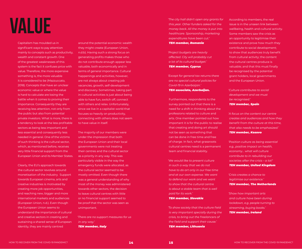Capitalism has moulded us in significant ways to pay attention mainly to concepts such as productivity, wealth and constant growth. One of the greatest weaknesses of this system is the fact it confuses price with value. Therefore, the more expensive something is, the more valuable it is considered to be (Mazzuccato, 2018). Concepts that have an unclear economic value or where the value is hard to calculate are losing the battle when it comes to proving their importance. Consequently they are receiving less attention, not only from the public but also from potential private investors. What is more, there is a tendency to look at the less profitable sectors as being less important and less essential and consequently less needed in general. One of the victims of such thinking is the cultural sector, which, as mentioned before, receives very little financial support from the European Union and its Member States.

Clearly, the EU's approach towards the cultural sector revolves around monetisation of the industry. Support towards European cinema, arts and creative industries is motivated by creating more job opportunities, and reaching new, bigger and more international markets and audiences (European Union, n.d.). Even though the European Union seems to understand the importance of cultural and creative sectors in creating and sustaining a shared sense of European identity, they are mainly centred

around the potential economic wealth they might create (European Union, n.d.b). Having such a strong focus on generating profits makes those who do not contribute enough appear less valuable, both economically and in terms of general importance. Cultural happenings and activities, however, are not always about creating job vacancies, growth, self-development and discovery. Sometimes, taking part in cultural activities is just about being able to have fun, switch off, connect with others and relax. Unfortunately, since we live in a capitalist world that focuses so heavily on productivity, connecting with others does not seem to have value in itself.

The majority of our members were under the impression that both the European Union and their local governments were not treating their centres and the cultural sector as a priority in any way. This was particularly visible in the way the emergency funds were allocated, as the cultural sector seemed to be mostly omitted. Even though there was a general understanding of why most of the money was administered towards other sectors, the decision to leave cultural centres with little or no financial support seemed to be proof that the sector was seen as unimportant.

*'There are no support measures for us in any way.' TEH member, Italy*

The city hall didn't open any grants for<br>this year. Other funders asked for the<br>money back. All the money is put into *this year. Other funders asked for the money back. All the money is put into healthcare. Sponsorship, marketing expenditures have been cut.'* 

## *TEH member, Romania*

*'Project budgets are heavily affected. City will probably cut a lot of its cultural budget.' TEH member, Cyprus*

*'Except for general tax returns there are no special cultural policies for Covid-19 in Azerbaijan.'* 

## *TEH associate, Azerbaijan.*

Furthermore, respondents to the survey pointed out that there is a need for a shift in thinking about the professions related to culture and arts. One member pointed out how important it is for the public to realise that creating and doing art should not be seen as something that can be done in free time and free of charge. In fact, what grassroots cultural centres need is a permanent team and financial stability.

*'We would like to present culture in such a way that we do not have to do art only in our free time and at our own expense. We want to defend our work and we want to show that the cultural centre is about a stable team that is well paid for its work.'* 

### *TEH member, Slovakia*

*'To show society that the culture field is very important specially during the crisis, to bring out the freelancers of the field and support their cause.' TEH member, Lithuania*

According to members, the real issue is in the unseen link between wellbeing, health and cultural activity. Some members saw the crisis as an opportunity to legitimise their existence and prove how much they contribute to social development; to show that audiences truly benefit from cultural activity; the content the cultural centres produce is valuable; and that this must finally be recognised by the potential grant holders, local governments and the European Union.

*'Culture contributes to social development and we must be recognised.' TEH member, Spain*

*'A focus on the content our centre creates and audiences and how they benefit from the culture at this time, that also needs to be emphasized.' TEH member, Kosovo*

*'Position culture as being essential e.g., positive impact on health, economy... what will culture contribute to in rebuilding our societies after the crisis – a lot!' TEH member, United Kingdom*

*'Crisis creates a chance to legitimise our existence.' TEH member, The Netherlands*

*'Show how important arts and culture have been during lockdown, e.g. people turning to streaming, buying books.' TEH member, Ireland*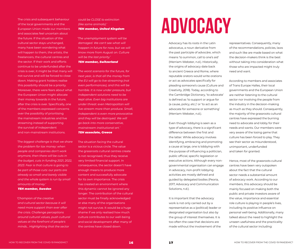The crisis and subsequent behaviour of the local governments and the European Union made our members and associates feel uncertain about the future. If the situation of the cultural sector stays unchanged, many have been wondering what will happen to them, the artists, the freelancers, the cultural centres and the sector. If their work and efforts continue to be underfunded after the crisis is over, it might be that many will not survive and will be forced to close down. Making grant holders realise this possibility should be a priority. Moreover, there were fears about what the European Union might allocate their money towards in the future, after the crisis is over. Specifically, one of the members expressed concerns over the possibility of prioritising the mainstream industries and live streaming instead of supporting the survival of independent and non-mainstream institutions.

*'The biggest challenge is that we share the problem for tax money: when people and companies don't work anymore, then there will be cuts in the budget, cuts in funding 2021, 2022, 2023. Fear is that culture is going to be part of those cuts: our parts are already so small and barely visible and the whole system is run by small amounts of money.' TEH member, Sweden*

*'Champion of the creative and cultural sector because it will need more support than ever after the crisis. Challenge perceptions around cultural values, push cultural values at the forefront of people's minds... Highlighting that the sector* 

## *could be CLOSE to extinction (like some animals).' TEH member, United Kingdom*

*'The unemployment system will be damaged. We can't see what will happen in future for now, but we will know more from August on. Culture will be the last priority.' TEH member, Switzerland*

*'The worst scenario for the future, for next year, is that all the money from the EU will go to live-streaming (not even performances), and this will be horrible. It is now under pressure, but independent solutions need to be kept alive. Even big institutions are under threat: even Metropolitan will live-stream more than produce. Small, independent is even more provocative and they will be destroyed. We will go back into more conservative, mainstream institutional art.' TEH associate, Greece*

The situation facing the cultural sector is a vicious circle. The value the grassroots cultural centres create is not recognised, thus they receive very limited financial support. In consequence, the sector doesn't have enough means to produce more content and successfully advocate for its own importance. The crisis has created an environment where this dynamic cannot be ignored any longer. The contribution of the cultural sector must be finally acknowledged or else many of the organisations might not survive. It would be a huge shame if we only realised how much culture contributes to our well-being and social development after many of the centres have closed down.

# **ADVOCACY**

Advocacy has its roots in the Latin advocatus, a noun derivative from the past participle of advocāre, which means 'to summon, call to one's aid' (Merriam-Webster, n.d.). Historically, the origins of advocacy date back to ancient Greece and Rome, where reputable orators would write orations or act as advocates specifically for pleading someone's cause (Culture and Creativity, 2018). Today, according to the Cambridge Dictionary, 'to advocate' is defined as 'to support or argue for (a cause, policy, etc.)' or 'to act as an advocate for someone or something' (Merriam-Webster, n.d.).

Even though lobbying is seen as a type of advocacy, there is a significant difference between the first and the latter. While advocacy involves identifying, embracing and promoting a cause at large, one is lobbying with the purpose of influencing a politician, public official, specific legislation or executive actions. Although every nongovernmental organisation can engage in advocacy, non-profit lobbying activities are mostly defined and guided by delegated bodies (Peoria, 2017; Advocacy and Communication Solutions, n.d.).

It is important that the advocacy work is not only carried out by a representative as a (political) leader or designated organisation but also by the group of interest themselves. It is too often the case that decisions are made without the involvement of the

representatives. Consequently, many of the recommendations, policies, laws and such like are made based on what the decision-makers think is the best without taking into consideration what those who are impacted might truly need and want.

According to members and associates of Trans Europe Halles, their local governments and the European Union are neither listening to the cultural sector nor involving the people from the industry in the decision-making as much as they should. Consequently, the majority of the grassroots cultural centres have expressed the burning need to advocate and lobby for their needs and wants. Our members were very aware of the losing game that culture has been forced to play. They see their sector as misunderstood, unimportant, underfunded and taken for granted.

Hence, most of the grassroots cultural centres have been very outspoken about the fact that the cultural sector needs a substantial amount of advocacy work. According to our members, this advocacy should be mainly focused on making both the public and private investors aware of the value, importance and essential role culture is playing in people's lives, including its positive influence on personal well-being. Additionally, many talked about the need to highlight the unseen usefulness and the practicality of the cultural sector including: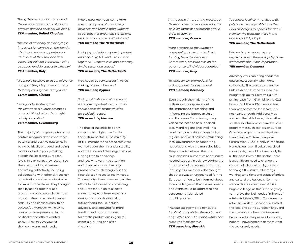'*Being the advocate for the value of the arts and how arts translate into practice and also personal wellbeing.' TEH member, United Kingdom*

*'The role of advocacy and lobbying is important for carrying on the identity of cultural centres, supporting our usefulness at the European level, activating training processes, having a support fund for spaces in difficulty.'*  TEH member, Italy

*'We should be brave to lift our relevance and go to the policymakers and say that they can't ignore us anymore.' TEH member, Finland*

*'Strong lobby to strengthen the relevance of culture among all other activities/sectors that might priority for politics.'* 

## *TEH member, Luxembourg*

The majority of the grassroots cultural centres recognised the importance, potential and positive outcomes in being politically engaged and being more involved in policy-making at both the local and European levels. In particular, they recognised the strength of togetherness and acting collectively, including collaborating with other civil society organisations and networks similar to Trans Europe Halles. They thought that, by acting together as a group, the sector would have more opportunities to be heard, treated seriously and consequently to be successful. Moreover, while some wanted to be represented in the political scene, others wanted to learn how to advocate for their own wants and needs.

*'Where most members come from, they critically look at how society develops, and there is more urgency to get together and make statements and be active on the political stage.' TEH member, The Netherlands*

*'Lobbying and advocacy are important and hopefully, TEH and us can work together: European level and advocacy for the sector and spaces.' TEH associate, The Netherlands*

*'We need to be very present in vision making places in Brussels.' TEH member, Cyprus*

*'Social, political and environmental issues are important. Each cultural venue has social responsibilities. Be politically active.' TEH associate, Ukraine*

The time of the crisis has only served to highlight how fragile the cultural sector is. The majority of TEH members and associates were worried about their financial stability and the survival of their organisations. Having little to no savings and receiving very little attention and financial support has only proved how much recognition and financial aid the sector really needs. The majority of members wanted the efforts to be focused on convincing the European Union to allocate more money to culture, especially during the crisis. Additionally, future efforts should include advocacy and lobbying for more funding and tax exemptions for artistic productions in general, especially during and after the crisis.

*'At the same time, putting pressure on those in power on more funds for the physical forms of performing arts, in order to survive.'* 

## *TEH member, Greece*

*'More pressure on the European community, also to obtain direct funding from the European Commission, pressure also on the governance of individual countries.' TEH member, Italy*

*'To lobby for tax exemptions for artistic productions in general.' TEH member, Germany*

Even though the majority of the cultural centres spoke about the importance of reaching and influencing the European Union and European Commission, many voiced the need to be supported locally and regionally as well. This would include taking a closer look at regional and local policies, influencing local governments or supporting negotiations with the municipalities. Respondents believed that the municipalities, authorities and funders needed support in acknowledging the importance of the event and culture industry. Our members also thought that there was an urgent need for the European Union to be informed about local challenges so that the real needs and wants could be addressed and consequently translated into EU policies.

*'Perhaps an attempt to penetrate local cultural policies. Promotion not only within the EU but also within one state, the local context.' TEH associate, Slovakia*

*'To connect local communities to EU policies in new ways. What are the local challenges for spaces, for cities? How can we translate those in the direction of EU policy?'* 

## *TEH member, The Netherlands*

*'We need some support in our negotiations with the municipality. Some statements about our importance.' TEH member, Denmark*

Advocacy work can bring about real outcomes, especially when done collectively. The pressure created by Culture Action Europe resulted in a budget top-up for Creative Culture (an increase from €1.64 billion to €2.2 billion). Still, this is €600 million less than was advocated for. In fact, it is not nearly enough. Additionally, as visible in the table below, it is a rather small cash infusion compared to other programmes such as Horizon Europe. Only two programmes received less than Creative Culture (European Commission, 2020). Money is important. Nonetheless, even if culture received more funds, it would not magically fix all the issues within the sector. There is a significant need to change the concept of what culture is, but also to change the structural settings, working conditions and status of artists and cultural professionals. Common standards are a must, even if it is a huge challenge, as this is the only way to improve the livelihoods of millions of artists (Polivtseva, 2021). Consequently, advocacy work must continue, both at the local and at the European level, and the grassroots cultural centres must be included in the process. In the end, nobody knows better than them what the sector truly needs.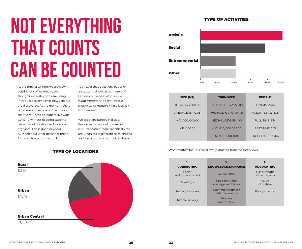# **NOT EVERYTHING THAT COUNTS CAN BE COUNTED**

At the time of writing, we are slowly coming out of lockdown, even though new restrictions are being introduced every day as new variants are discovered. At the moment, there is general consensus on the opinion that we will have to learn to live with Covid-19 without needing extreme measures of isolation and lockdown anymore. This is good news for humanity but what does that mean for us in the cultural sector?

To answer that question, let's take an existential look at our network? Let's ask ourselves: *Who are we? What matters? And why does it matter what matters?* First, let's ask *who are we?*

We are Trans Europe Halles, a European network of grassroots cultural centres. More specifically, we are urbanites in different sizes, shapes and forms, as the chart below shows:



## TYPE OF ACTIVITIES



| <b>SIZE (M2)</b>   | <b>TURNOVER</b>         | <b>PEOPLE</b>           |
|--------------------|-------------------------|-------------------------|
| TOTAL: 473, 979.00 | TOTAL: €68, 042 958.00  | <b>ARTISTS: 2245</b>    |
| AVERAGE: 8, 172.05 | AVERAGE: €1, 173 154.45 | <b>VOLUNTEERS: 1835</b> |
| MAX: 100, 000.00   | MEDIAN: €316, 594.00    | $F$ ULL-TIMF: 974       |
| MIN: 100.00        | MAX: €16, 000 000.00    | PART-TIME: 565          |
|                    | MIN: €15, 000.00        | FREEL ANCERS: 704       |

## What matters for us is as follows (extracted from the interviews) **TYPE OF LOCATIONS**

| 1.<br><b>CONNECTING</b>      | 2.<br><b>KNOWLEDGE EXCHANGE</b>        | 3.<br><b>ADVOCATING</b>        |
|------------------------------|----------------------------------------|--------------------------------|
| Fasier<br>and more efficient | Consultancy                            | Use strength<br>of the network |
| Meetings                     | Crisis handling<br>management tools    | Value<br>of culture            |
| Help collaborate             | Creating databases<br>with information | Policy-making                  |
| Match-making                 | Provide<br>information                 |                                |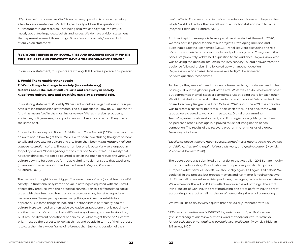*Why does 'what matters' matter?* is not an easy question to answer by using a few tables or sentences. We didn't specifically address this question with our members in our research. That being said, we can say that *'the why'* is mostly about feelings, ideas, beliefs and values. We do have a vision statement that represent some of those things. To understand our 'why', we can look at our vision statement:

## 'EVERYONE THRIVES IN AN EQUAL, FREE AND INCLUSIVE SOCIETY WHERE CULTURE, ARTS AND CREATIVITY HAVE A TRANSFORMATIVE POWER.'

In our vision statement, four points are striking. If TEH were a person, this person:

- 1. Would like to enable other people
- 2. Wants things to change in society (in a certain way)
- 3. Cares about the role of culture, arts and creativity in society
- 4. Believes culture, arts and creativity can play a powerful role.

It is a strong statement. Probably 90 per cent of cultural organisations in Europe have similar strong vision statements. The big question is, How do WE get there? And that means 'we' in the most inclusive way. 'We' as in artists, producers, audiences, policy-makers, local politicians who like arts and so on. Everyone is in the same boat.

A book by Julian Meyrick, Robert Phiddian and Tully Barnett (2020) provides some answers about how to get there. We'd like to share two striking thoughts on how to talk and advocate for culture and arts from their book *What matters? Talking value in Australian culture*. Thought number one is potentially very unpopular for policy-makers *'Not everything that counts can be counted'*. The reality that not everything counts can be counted is lost in the push to reduce the variety of culture down to bureaucratic formulae claiming to demonstrate that excellence (or innovation or access etc.) has been achieved (Meyrick, Phiddian & Barnett, 2020).

Their second thought is even bigger: '*It is time to imagine a (post-) Functionalist society'*. In functionalist systems, the value of things is equated with the useful effects they produce, with their practical contribution to a differentiated social order: with their function. Functionalism provides many benefits, especially material ones. Some, perhaps even many, things suit such a substitutive approach. But some things do not, and functionalism is particularly bad for culture. Here we need an alternative evaluative strategy, one that is not simply another method of counting but a different way of seeing and understanding, built around different operational principles. So, what might these be? A central pillar must be the purpose. To look at things and people in terms of their purpose is to cast them in a wider frame of reference than just consideration of their

useful effects. Thus, we attend to their aims, missions, visions and hopes – their whole 'world': all factors that are left out of a functionalist approach to value (Meyrick, Phiddian & Barnett, 2020).

Another inspiring example is from a panel we attended. At the end of 2020, we took part in a panel for one of our projects, Developing Inclusive and Sustainable Creative Economies (DISCE). Panellists were discussing the role of culture and arts in our current social and political systems. Then, one of the panellists (from Italy) addressed a question to the audience: Do you know who was advising the decision-makers in the 15th century? A loud answer from the audience followed: artists. She followed up with another question: Do you know who advises decision-makers today? She answered her own question: 'economists'.

To change this, we don't need to invent a time-machine, nor do we need to feel nostalgic about the glorious past of the arts. What we can do is help each other out, sometimes in small steps or sometimes just by being there for each other. We did that during the peak of the pandemic and it worked. We organised the Shared Recovery Programme from October 2020 until June 2021. The core idea was to create a space for peers to support each other. In the end, three work groups were created to work on three topics: Digital programming; Teams/organisational development; and Funding/advocacy. Many members helped each other. Once again, it proved to us that imagination needs connection. The results of the recovery programme reminds us of a quote from Meyrick's book:

*'Excellence doesn't always mean success. Sometimes it means trying really hard and failing, then trying again, failing a bit more, and getting better.'* (Meyrick, Phiddian & Barnett, 2020).

The quote above was submitted by an artist to the Australian 2015 Senate Inquiry into cuts in arts funding. Our situation in Europe is very similar. To quote a European artist, Samuel Beckett, we should 'Try again. Fail again. Fail better'. We could fail in the process, but process matters and we matter for doing what we do. Either calling ourselves artists, producers, managers, technicians or whatever. We are here for the 'art of it'. Let's reflect more on the art of things. The art of living, the art of working, the art of producing, the art of performing, the art of accounting, the art of emailing, the art of networking, the art of connecting …

We would like to finish with a quote that particularly resonated with us:

*'WE spend our entire lives WORKING to perfect our craft, so that we can give something to our fellow humans ways that only art can: it is crucial for our collective emotional and psychological wellbeing.'* (Meyrick, Phiddian & Barnett, 2020)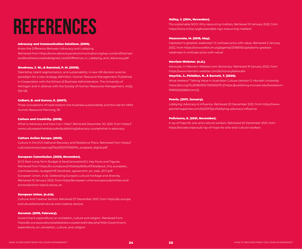## **References**<br> **EREFERENCES** Hailey, J. (2014, November).<br>
The sustainable NGO: Why res<br>
https://www.intrac.org/sustain

## Advocacy and Communication Solutions. (2010).

Know the Difference Between Advocacy and Lobbying. Retrieved from https://www.advocacyandcommunication.org/wp-content/themes/ acs/docs/resources/redesigned\_tools/Difference\_in\_Lobbying\_and\_Advocacy.pdf

## Boudreau, J. W., & Ramstad, P. M. (2005).

Talentship, talent segmentation, and sustainability: A new HR decision science paradigm for a new strategy definition. Human Resource Management: Published in Cooperation with the School of Business Administration, The University of Michigan and in alliance with the Society of Human Resources Management, 44(2), 129-136.

## Colbert, B. and Kurucz, E. (2007).

Three conceptions of triple bottom line business sustainability and the role for HRM, Human Resource Planning, 30.

## Culture and Creativity. (2018).

What is Advocacy and How Can I Help? Retrieved December 20, 2021, from https:// www.culturepartnership.eu/en/publishing/advocacy-course/what-is-advocacy

## Culture Action Europe. (2021).

Culture in the EU's National Recovery and Resilience Plans. Retrieved from https:// cultureactioneurope.org/files/2021/11/NRRPs\_analysed\_digital.pdf

## European Commission. (2020, November).

EU'S Next Long-Term Budget & NextGenerationEU: Key Facts and Figures. Retrieved from https://ec.europa.eu/info/sites/default/files/about\_the\_european\_ commission/eu\_budget/mff\_factsheet\_agreement\_en\_web\_20.11.pdf European Union. (n.d). Celebrating Europe's cultural heritage and diversity. Retrieved 10 January 2022, from https://european-union.europa.eu/priorities-andactions/actions-topic/culture\_en

## European Union. (n.d.b).

Cultural and Creative Sectors. Retrieved 27 December 2021, from https://ec.europa. eu/culture/sectors/cultural-and-creative-sectors

## Eurostat. (2019, February).

Government expenditure on recreation, culture and religion. Retrieved from https://ec.europa.eu/eurostat/statistics-explained/index.php?title=Government\_ expenditure\_on\_recreation,\_culture\_and\_religion

The sustainable NGO: Why resourcing matters. Retrieved 10 January 2022, from https://www.intrac.org/sustainable-ngo-resourcing-matters/

## Mazzuccato, M. (2018, May).

Capitalism's greatest weakness? It confuses price with value. Retrieved 2 January 2022, from https://www.weforum.org/agenda/2018/05/capitalisms-greatestweakness-it-confuses-price-with-value/

## Merriam-Webster. (n.d.).

Advocate. In Merriam-Webster.com dictionary. Retrieved 19 January 2022, from https://www.merriam-webster.com/dictionary/advocate

## Meyrick, J., Phiddian, R., & Barnett, T. (2020).

What Matters? Talking Value in Australian Culture (Version 1). Monash University. https://doi.org/10.26180/5f3c700055075 (['https://publishing.monash.edu/books/wm-9781925523805.html'])

## Peoria. (2017, January).

Lobbying, Advocacy & Influence. Retrieved 20 December 2021, from https://www. peoriamagazines.com/ibi/2017/jan/lobbying-advocacy-influence

## Polivtseva, E. (2021, November).

A ray of hope for arts and cultural workers. Retrieved 20 December 2021, from https://socialeurope.eu/a-ray-of-hope-for-arts-and-cultural-workers